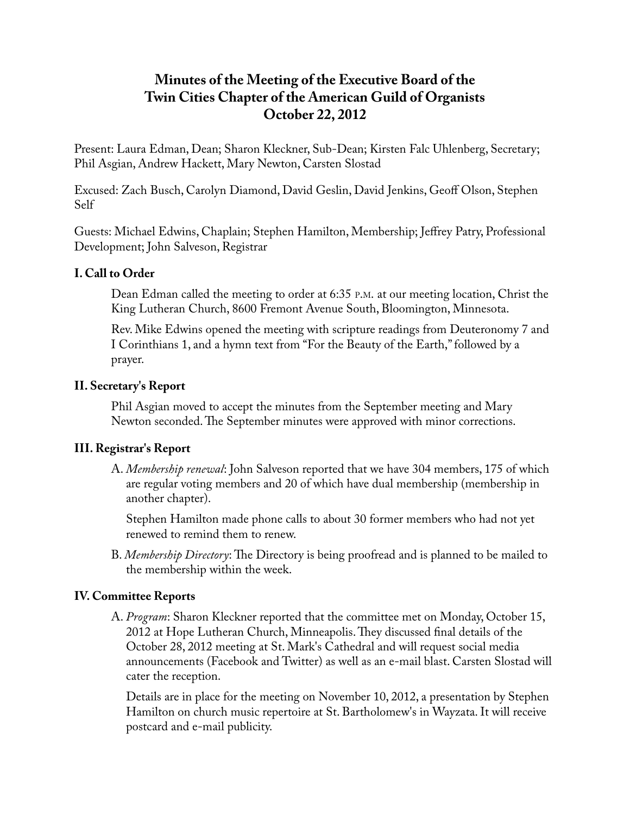# **Minutes of the Meeting of the Executive Board of the Twin Cities Chapter of the American Guild of Organists October 22, 2012**

Present: Laura Edman, Dean; Sharon Kleckner, Sub-Dean; Kirsten Falc Uhlenberg, Secretary; Phil Asgian, Andrew Hackett, Mary Newton, Carsten Slostad

Excused: Zach Busch, Carolyn Diamond, David Geslin, David Jenkins, Geoff Olson, Stephen Self

Guests: Michael Edwins, Chaplain; Stephen Hamilton, Membership; Jeffrey Patry, Professional Development; John Salveson, Registrar

### **I. Call to Order**

Dean Edman called the meeting to order at 6:35 P.M. at our meeting location, Christ the King Lutheran Church, 8600 Fremont Avenue South, Bloomington, Minnesota.

Rev. Mike Edwins opened the meeting with scripture readings from Deuteronomy 7 and I Corinthians 1, and a hymn text from "For the Beauty of the Earth," followed by a prayer.

### **II. Secretary's Report**

Phil Asgian moved to accept the minutes from the September meeting and Mary Newton seconded. The September minutes were approved with minor corrections.

# **III. Registrar's Report**

A. *Membership renewal*: John Salveson reported that we have 304 members, 175 of which are regular voting members and 20 of which have dual membership (membership in another chapter).

Stephen Hamilton made phone calls to about 30 former members who had not yet renewed to remind them to renew.

B. *Membership Directory*: The Directory is being proofread and is planned to be mailed to the membership within the week.

# **IV. Committee Reports**

A. *Program*: Sharon Kleckner reported that the committee met on Monday, October 15, 2012 at Hope Lutheran Church, Minneapolis. They discussed final details of the October 28, 2012 meeting at St. Mark's Cathedral and will request social media announcements (Facebook and Twitter) as well as an e-mail blast. Carsten Slostad will cater the reception.

Details are in place for the meeting on November 10, 2012, a presentation by Stephen Hamilton on church music repertoire at St. Bartholomew's in Wayzata. It will receive postcard and e-mail publicity.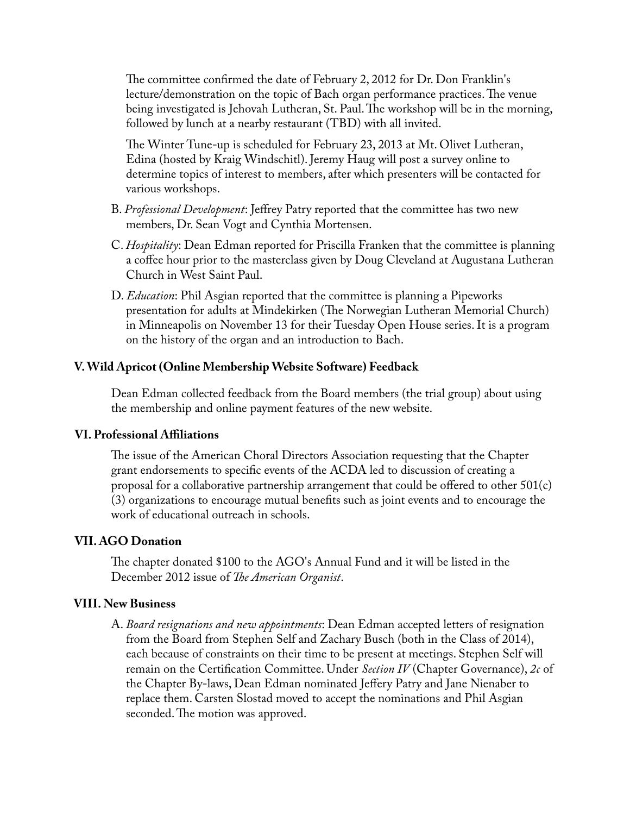The committee confirmed the date of February 2, 2012 for Dr. Don Franklin's lecture/demonstration on the topic of Bach organ performance practices. The venue being investigated is Jehovah Lutheran, St. Paul. The workshop will be in the morning, followed by lunch at a nearby restaurant (TBD) with all invited.

The Winter Tune-up is scheduled for February 23, 2013 at Mt. Olivet Lutheran, Edina (hosted by Kraig Windschitl). Jeremy Haug will post a survey online to determine topics of interest to members, after which presenters will be contacted for various workshops.

- B. *Professional Development*: Jeffrey Patry reported that the committee has two new members, Dr. Sean Vogt and Cynthia Mortensen.
- C. *Hospitality*: Dean Edman reported for Priscilla Franken that the committee is planning a coffee hour prior to the masterclass given by Doug Cleveland at Augustana Lutheran Church in West Saint Paul.
- D. *Education*: Phil Asgian reported that the committee is planning a Pipeworks presentation for adults at Mindekirken (The Norwegian Lutheran Memorial Church) in Minneapolis on November 13 for their Tuesday Open House series. It is a program on the history of the organ and an introduction to Bach.

#### **V. Wild Apricot (Online Membership Website Software) Feedback**

Dean Edman collected feedback from the Board members (the trial group) about using the membership and online payment features of the new website.

#### **VI. Professional Affiliations**

The issue of the American Choral Directors Association requesting that the Chapter grant endorsements to specific events of the ACDA led to discussion of creating a proposal for a collaborative partnership arrangement that could be offered to other 501(c) (3) organizations to encourage mutual benefits such as joint events and to encourage the work of educational outreach in schools.

#### **VII. AGO Donation**

The chapter donated \$100 to the AGO's Annual Fund and it will be listed in the December 2012 issue of *The American Organist*.

#### **VIII. New Business**

A. *Board resignations and new appointments*: Dean Edman accepted letters of resignation from the Board from Stephen Self and Zachary Busch (both in the Class of 2014), each because of constraints on their time to be present at meetings. Stephen Self will remain on the Certification Committee. Under *Section IV* (Chapter Governance), *2c* of the Chapter By-laws, Dean Edman nominated Jeffery Patry and Jane Nienaber to replace them. Carsten Slostad moved to accept the nominations and Phil Asgian seconded. The motion was approved.